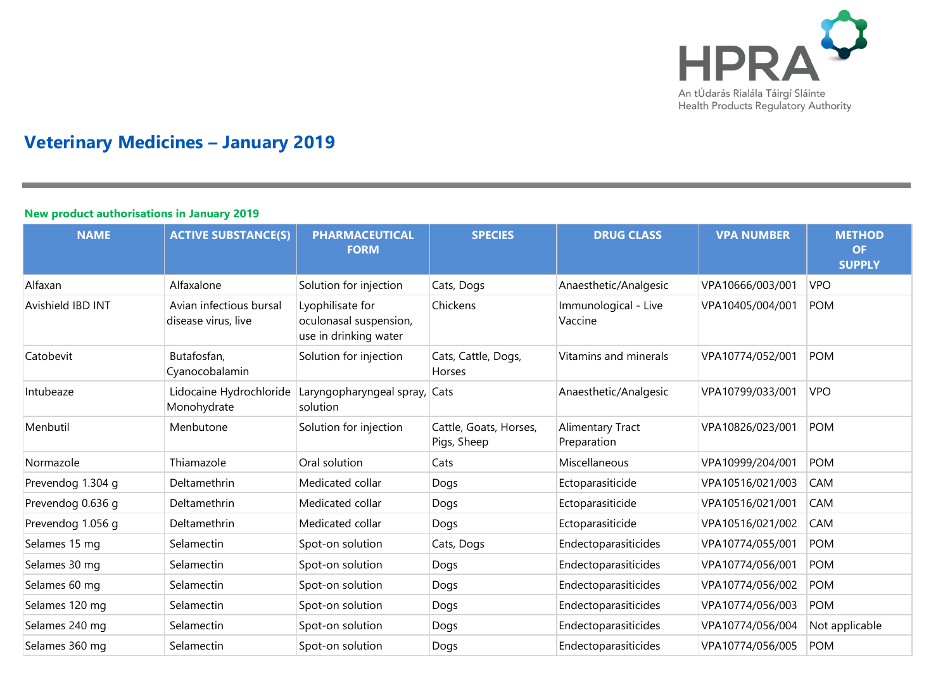

# **Veterinary Medicines – January 2019**

#### **New product authorisations in January 2019**

| <b>NAME</b>       | <b>ACTIVE SUBSTANCE(S)</b>                     | <b>PHARMACEUTICAL</b><br><b>FORM</b>                                | <b>SPECIES</b>                        | <b>DRUG CLASS</b>               | <b>VPA NUMBER</b> | <b>METHOD</b><br><b>OF</b><br><b>SUPPLY</b> |
|-------------------|------------------------------------------------|---------------------------------------------------------------------|---------------------------------------|---------------------------------|-------------------|---------------------------------------------|
| Alfaxan           | Alfaxalone                                     | Solution for injection                                              | Cats, Dogs                            | Anaesthetic/Analgesic           | VPA10666/003/001  | <b>VPO</b>                                  |
| Avishield IBD INT | Avian infectious bursal<br>disease virus, live | Lyophilisate for<br>oculonasal suspension,<br>use in drinking water | Chickens                              | Immunological - Live<br>Vaccine | VPA10405/004/001  | <b>POM</b>                                  |
| Catobevit         | Butafosfan,<br>Cyanocobalamin                  | Solution for injection                                              | Cats, Cattle, Dogs,<br>Horses         | Vitamins and minerals           | VPA10774/052/001  | <b>POM</b>                                  |
| Intubeaze         | Lidocaine Hydrochloride<br>Monohydrate         | Laryngopharyngeal spray,<br>solution                                | Cats                                  | Anaesthetic/Analgesic           | VPA10799/033/001  | <b>VPO</b>                                  |
| Menbutil          | Menbutone                                      | Solution for injection                                              | Cattle, Goats, Horses,<br>Pigs, Sheep | Alimentary Tract<br>Preparation | VPA10826/023/001  | <b>POM</b>                                  |
| Normazole         | Thiamazole                                     | Oral solution                                                       | Cats                                  | Miscellaneous                   | VPA10999/204/001  | <b>POM</b>                                  |
| Prevendog 1.304 g | Deltamethrin                                   | Medicated collar                                                    | Dogs                                  | Ectoparasiticide                | VPA10516/021/003  | CAM                                         |
| Prevendog 0.636 g | Deltamethrin                                   | Medicated collar                                                    | Dogs                                  | Ectoparasiticide                | VPA10516/021/001  | CAM                                         |
| Prevendog 1.056 g | Deltamethrin                                   | Medicated collar                                                    | Dogs                                  | Ectoparasiticide                | VPA10516/021/002  | CAM                                         |
| Selames 15 mg     | Selamectin                                     | Spot-on solution                                                    | Cats, Dogs                            | Endectoparasiticides            | VPA10774/055/001  | <b>POM</b>                                  |
| Selames 30 mg     | Selamectin                                     | Spot-on solution                                                    | Dogs                                  | Endectoparasiticides            | VPA10774/056/001  | <b>POM</b>                                  |
| Selames 60 mg     | Selamectin                                     | Spot-on solution                                                    | Dogs                                  | Endectoparasiticides            | VPA10774/056/002  | <b>POM</b>                                  |
| Selames 120 mg    | Selamectin                                     | Spot-on solution                                                    | Dogs                                  | Endectoparasiticides            | VPA10774/056/003  | <b>POM</b>                                  |
| Selames 240 mg    | Selamectin                                     | Spot-on solution                                                    | Dogs                                  | Endectoparasiticides            | VPA10774/056/004  | Not applicable                              |
| Selames 360 mg    | Selamectin                                     | Spot-on solution                                                    | Dogs                                  | Endectoparasiticides            | VPA10774/056/005  | <b>POM</b>                                  |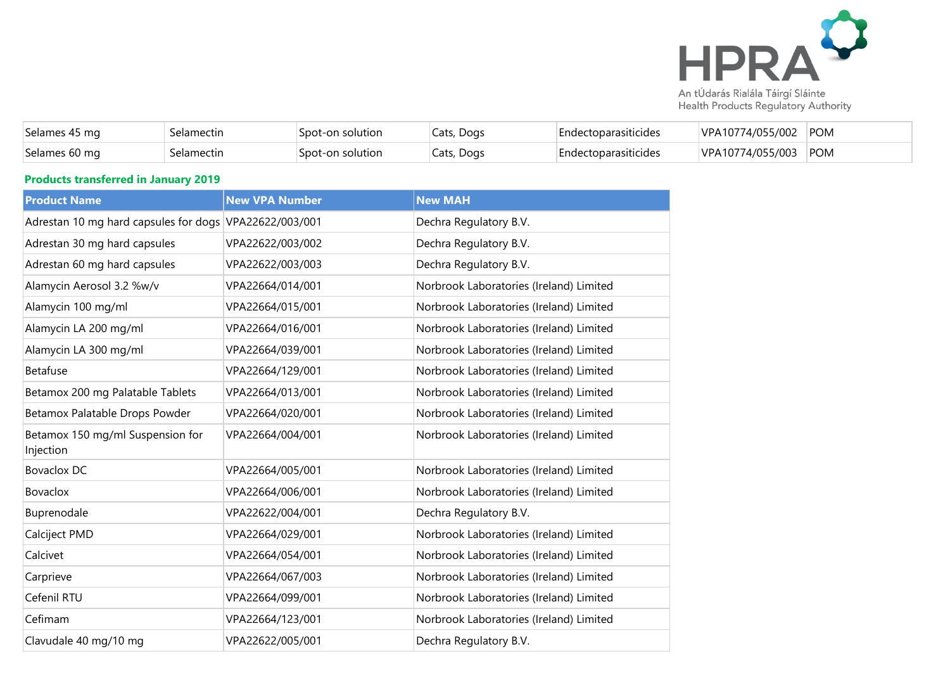

| Selames<br>ma د+  | elamectin | Snot-on<br>lution | Cats, Dogs | siticides<br>⊦nd≙ | 774/055/002<br>۱/D A<br>10 | POM |
|-------------------|-----------|-------------------|------------|-------------------|----------------------------|-----|
| Selames<br>-60 ma | elamectin | ാററ*<br>iution    | Cats, Dogs | uticides :<br>ndc | 4/055/003<br><b>MDA</b>    | POM |

## **Products transferred in January 2019**

| <b>Product Name</b>                                    | <b>New VPA Number</b> | <b>New MAH</b>                          |
|--------------------------------------------------------|-----------------------|-----------------------------------------|
| Adrestan 10 mg hard capsules for dogs VPA22622/003/001 |                       | Dechra Regulatory B.V.                  |
| Adrestan 30 mg hard capsules                           | VPA22622/003/002      | Dechra Regulatory B.V.                  |
| Adrestan 60 mg hard capsules                           | VPA22622/003/003      | Dechra Regulatory B.V.                  |
| Alamycin Aerosol 3.2 %w/v                              | VPA22664/014/001      | Norbrook Laboratories (Ireland) Limited |
| Alamycin 100 mg/ml                                     | VPA22664/015/001      | Norbrook Laboratories (Ireland) Limited |
| Alamycin LA 200 mg/ml                                  | VPA22664/016/001      | Norbrook Laboratories (Ireland) Limited |
| Alamycin LA 300 mg/ml                                  | VPA22664/039/001      | Norbrook Laboratories (Ireland) Limited |
| <b>Betafuse</b>                                        | VPA22664/129/001      | Norbrook Laboratories (Ireland) Limited |
| Betamox 200 mg Palatable Tablets                       | VPA22664/013/001      | Norbrook Laboratories (Ireland) Limited |
| Betamox Palatable Drops Powder                         | VPA22664/020/001      | Norbrook Laboratories (Ireland) Limited |
| Betamox 150 mg/ml Suspension for<br>Injection          | VPA22664/004/001      | Norbrook Laboratories (Ireland) Limited |
| <b>Bovaclox DC</b>                                     | VPA22664/005/001      | Norbrook Laboratories (Ireland) Limited |
| <b>Bovaclox</b>                                        | VPA22664/006/001      | Norbrook Laboratories (Ireland) Limited |
| Buprenodale                                            | VPA22622/004/001      | Dechra Regulatory B.V.                  |
| Calciject PMD                                          | VPA22664/029/001      | Norbrook Laboratories (Ireland) Limited |
| Calcivet                                               | VPA22664/054/001      | Norbrook Laboratories (Ireland) Limited |
| Carprieve                                              | VPA22664/067/003      | Norbrook Laboratories (Ireland) Limited |
| Cefenil RTU                                            | VPA22664/099/001      | Norbrook Laboratories (Ireland) Limited |
| Cefimam                                                | VPA22664/123/001      | Norbrook Laboratories (Ireland) Limited |
| Clavudale 40 mg/10 mg                                  | VPA22622/005/001      | Dechra Regulatory B.V.                  |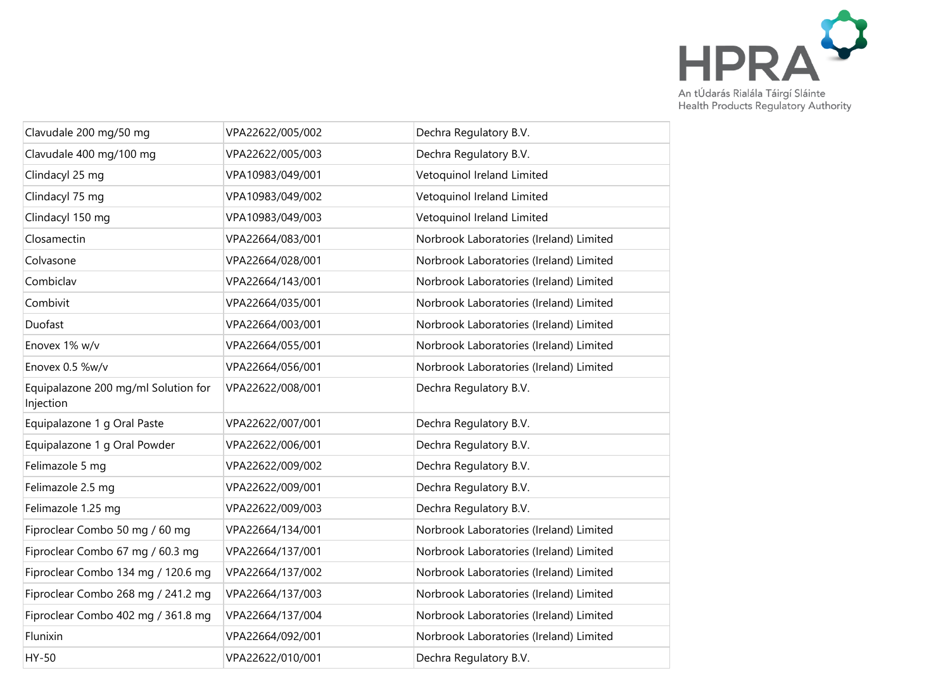

| Clavudale 200 mg/50 mg                           | VPA22622/005/002 | Dechra Regulatory B.V.                  |
|--------------------------------------------------|------------------|-----------------------------------------|
| Clavudale 400 mg/100 mg                          | VPA22622/005/003 | Dechra Regulatory B.V.                  |
| Clindacyl 25 mg                                  | VPA10983/049/001 | Vetoquinol Ireland Limited              |
| Clindacyl 75 mg                                  | VPA10983/049/002 | Vetoquinol Ireland Limited              |
| Clindacyl 150 mg                                 | VPA10983/049/003 | Vetoquinol Ireland Limited              |
| Closamectin                                      | VPA22664/083/001 | Norbrook Laboratories (Ireland) Limited |
| Colvasone                                        | VPA22664/028/001 | Norbrook Laboratories (Ireland) Limited |
| Combiclav                                        | VPA22664/143/001 | Norbrook Laboratories (Ireland) Limited |
| Combivit                                         | VPA22664/035/001 | Norbrook Laboratories (Ireland) Limited |
| Duofast                                          | VPA22664/003/001 | Norbrook Laboratories (Ireland) Limited |
| Enovex 1% w/v                                    | VPA22664/055/001 | Norbrook Laboratories (Ireland) Limited |
| Enovex 0.5 %w/v                                  | VPA22664/056/001 | Norbrook Laboratories (Ireland) Limited |
| Equipalazone 200 mg/ml Solution for<br>Injection | VPA22622/008/001 | Dechra Regulatory B.V.                  |
| Equipalazone 1 g Oral Paste                      | VPA22622/007/001 | Dechra Regulatory B.V.                  |
| Equipalazone 1 g Oral Powder                     | VPA22622/006/001 | Dechra Regulatory B.V.                  |
| Felimazole 5 mg                                  | VPA22622/009/002 | Dechra Regulatory B.V.                  |
| Felimazole 2.5 mg                                | VPA22622/009/001 | Dechra Regulatory B.V.                  |
| Felimazole 1.25 mg                               | VPA22622/009/003 | Dechra Regulatory B.V.                  |
| Fiproclear Combo 50 mg / 60 mg                   | VPA22664/134/001 | Norbrook Laboratories (Ireland) Limited |
| Fiproclear Combo 67 mg / 60.3 mg                 | VPA22664/137/001 | Norbrook Laboratories (Ireland) Limited |
| Fiproclear Combo 134 mg / 120.6 mg               | VPA22664/137/002 | Norbrook Laboratories (Ireland) Limited |
| Fiproclear Combo 268 mg / 241.2 mg               | VPA22664/137/003 | Norbrook Laboratories (Ireland) Limited |
| Fiproclear Combo 402 mg / 361.8 mg               | VPA22664/137/004 | Norbrook Laboratories (Ireland) Limited |
| Flunixin                                         | VPA22664/092/001 | Norbrook Laboratories (Ireland) Limited |
| HY-50                                            | VPA22622/010/001 | Dechra Regulatory B.V.                  |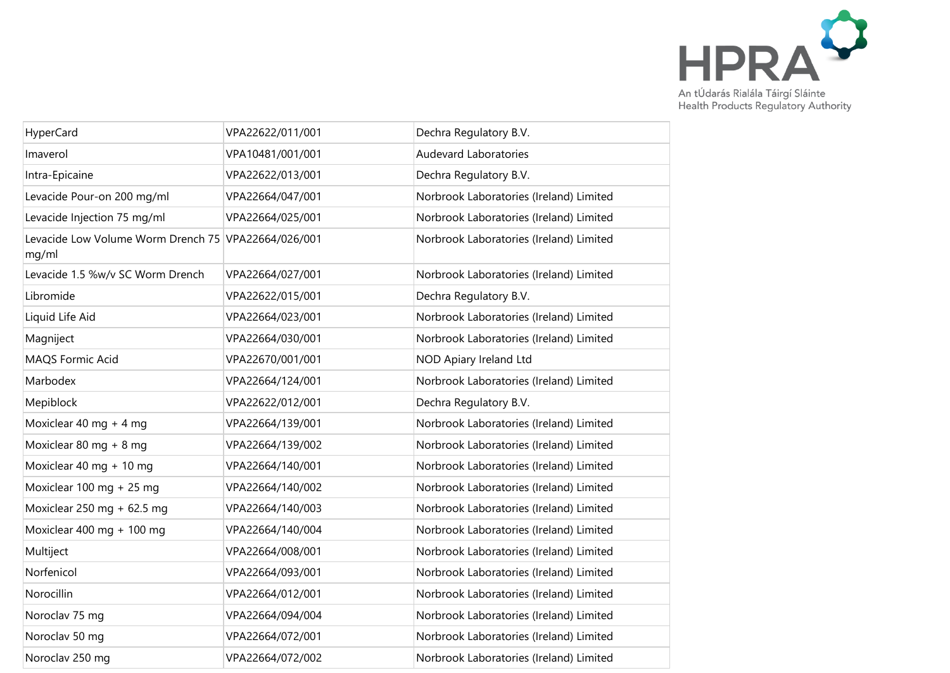

| HyperCard                                                    | VPA22622/011/001 | Dechra Regulatory B.V.                  |
|--------------------------------------------------------------|------------------|-----------------------------------------|
| Imaverol                                                     | VPA10481/001/001 | Audevard Laboratories                   |
| Intra-Epicaine                                               | VPA22622/013/001 | Dechra Regulatory B.V.                  |
| Levacide Pour-on 200 mg/ml                                   | VPA22664/047/001 | Norbrook Laboratories (Ireland) Limited |
| Levacide Injection 75 mg/ml                                  | VPA22664/025/001 | Norbrook Laboratories (Ireland) Limited |
| Levacide Low Volume Worm Drench 75 VPA22664/026/001<br>mg/ml |                  | Norbrook Laboratories (Ireland) Limited |
| Levacide 1.5 %w/v SC Worm Drench                             | VPA22664/027/001 | Norbrook Laboratories (Ireland) Limited |
| Libromide                                                    | VPA22622/015/001 | Dechra Regulatory B.V.                  |
| Liquid Life Aid                                              | VPA22664/023/001 | Norbrook Laboratories (Ireland) Limited |
| Magniject                                                    | VPA22664/030/001 | Norbrook Laboratories (Ireland) Limited |
| MAQS Formic Acid                                             | VPA22670/001/001 | NOD Apiary Ireland Ltd                  |
| Marbodex                                                     | VPA22664/124/001 | Norbrook Laboratories (Ireland) Limited |
| Mepiblock                                                    | VPA22622/012/001 | Dechra Regulatory B.V.                  |
| Moxiclear 40 mg + 4 mg                                       | VPA22664/139/001 | Norbrook Laboratories (Ireland) Limited |
| Moxiclear 80 mg + 8 mg                                       | VPA22664/139/002 | Norbrook Laboratories (Ireland) Limited |
| Moxiclear 40 mg + 10 mg                                      | VPA22664/140/001 | Norbrook Laboratories (Ireland) Limited |
| Moxiclear 100 mg + 25 mg                                     | VPA22664/140/002 | Norbrook Laboratories (Ireland) Limited |
| Moxiclear 250 mg + 62.5 mg                                   | VPA22664/140/003 | Norbrook Laboratories (Ireland) Limited |
| Moxiclear 400 mg + 100 mg                                    | VPA22664/140/004 | Norbrook Laboratories (Ireland) Limited |
| Multiject                                                    | VPA22664/008/001 | Norbrook Laboratories (Ireland) Limited |
| Norfenicol                                                   | VPA22664/093/001 | Norbrook Laboratories (Ireland) Limited |
| Norocillin                                                   | VPA22664/012/001 | Norbrook Laboratories (Ireland) Limited |
| Noroclav 75 mg                                               | VPA22664/094/004 | Norbrook Laboratories (Ireland) Limited |
| Noroclav 50 mg                                               | VPA22664/072/001 | Norbrook Laboratories (Ireland) Limited |
| Noroclav 250 mg                                              | VPA22664/072/002 | Norbrook Laboratories (Ireland) Limited |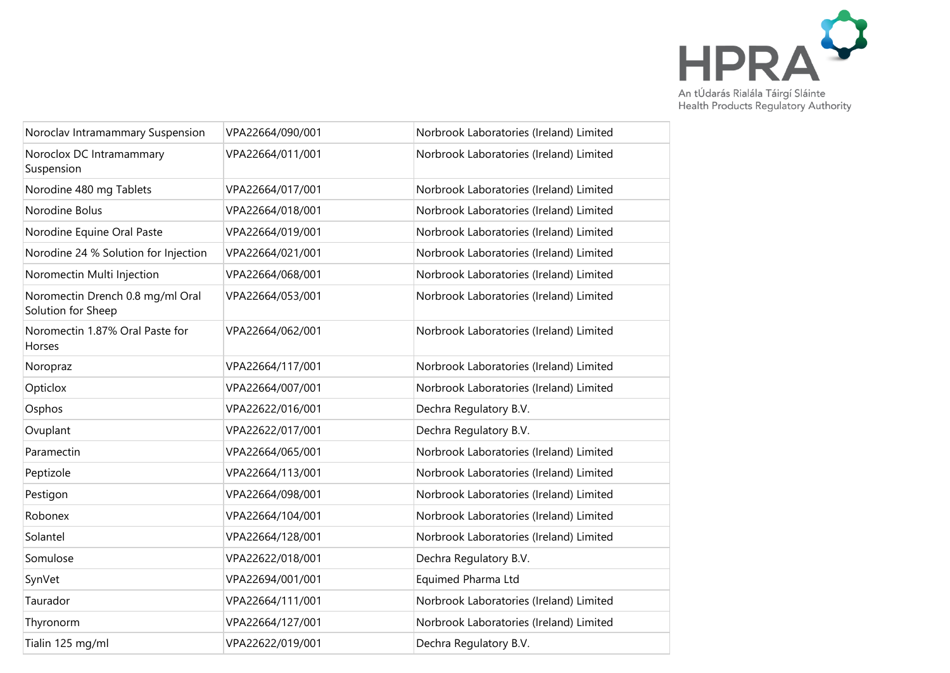

| Noroclav Intramammary Suspension                       | VPA22664/090/001 | Norbrook Laboratories (Ireland) Limited |
|--------------------------------------------------------|------------------|-----------------------------------------|
| Noroclox DC Intramammary<br>Suspension                 | VPA22664/011/001 | Norbrook Laboratories (Ireland) Limited |
| Norodine 480 mg Tablets                                | VPA22664/017/001 | Norbrook Laboratories (Ireland) Limited |
| Norodine Bolus                                         | VPA22664/018/001 | Norbrook Laboratories (Ireland) Limited |
| Norodine Equine Oral Paste                             | VPA22664/019/001 | Norbrook Laboratories (Ireland) Limited |
| Norodine 24 % Solution for Injection                   | VPA22664/021/001 | Norbrook Laboratories (Ireland) Limited |
| Noromectin Multi Injection                             | VPA22664/068/001 | Norbrook Laboratories (Ireland) Limited |
| Noromectin Drench 0.8 mg/ml Oral<br>Solution for Sheep | VPA22664/053/001 | Norbrook Laboratories (Ireland) Limited |
| Noromectin 1.87% Oral Paste for<br>Horses              | VPA22664/062/001 | Norbrook Laboratories (Ireland) Limited |
| Noropraz                                               | VPA22664/117/001 | Norbrook Laboratories (Ireland) Limited |
| Opticlox                                               | VPA22664/007/001 | Norbrook Laboratories (Ireland) Limited |
| Osphos                                                 | VPA22622/016/001 | Dechra Regulatory B.V.                  |
| Ovuplant                                               | VPA22622/017/001 | Dechra Regulatory B.V.                  |
| Paramectin                                             | VPA22664/065/001 | Norbrook Laboratories (Ireland) Limited |
| Peptizole                                              | VPA22664/113/001 | Norbrook Laboratories (Ireland) Limited |
| Pestigon                                               | VPA22664/098/001 | Norbrook Laboratories (Ireland) Limited |
| Robonex                                                | VPA22664/104/001 | Norbrook Laboratories (Ireland) Limited |
| Solantel                                               | VPA22664/128/001 | Norbrook Laboratories (Ireland) Limited |
| Somulose                                               | VPA22622/018/001 | Dechra Regulatory B.V.                  |
| SynVet                                                 | VPA22694/001/001 | Equimed Pharma Ltd                      |
| Taurador                                               | VPA22664/111/001 | Norbrook Laboratories (Ireland) Limited |
| Thyronorm                                              | VPA22664/127/001 | Norbrook Laboratories (Ireland) Limited |
| Tialin 125 mg/ml                                       | VPA22622/019/001 | Dechra Regulatory B.V.                  |